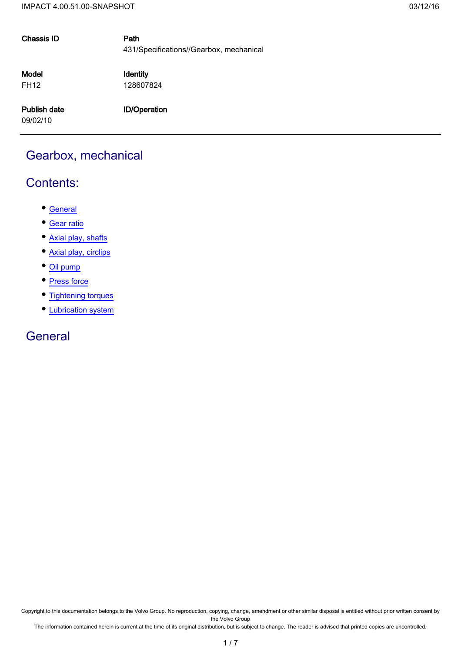| <b>Chassis ID</b>    | Path<br>431/Specifications//Gearbox, mechanical |
|----------------------|-------------------------------------------------|
| Model<br><b>FH12</b> | Identity<br>128607824                           |
| Publish date         | <b>ID/Operation</b>                             |
| 09/02/10             |                                                 |
|                      |                                                 |

## Gearbox, mechanical

### Contents:

- General
- Gear ratio
- Axial play, shafts
- Axial play, circlips
- Oil pump
- Press force
- Tightening torques
- Lubrication system

#### **General**

Copyright to this documentation belongs to the Volvo Group. No reproduction, copying, change, amendment or other similar disposal is entitled without prior written consent by the Volvo Group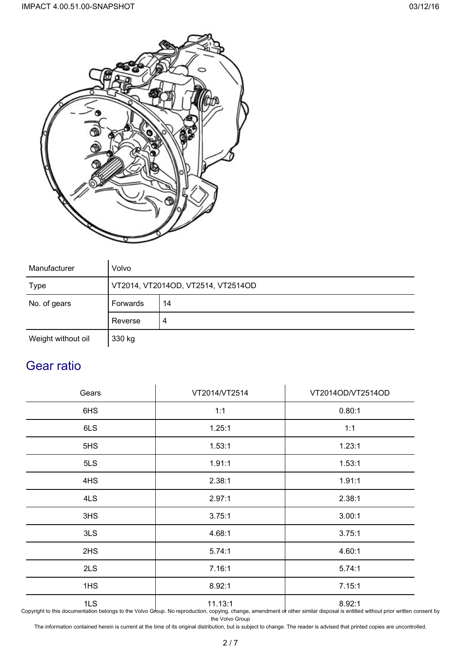



| Manufacturer       | Volvo                              |   |  |  |  |  |
|--------------------|------------------------------------|---|--|--|--|--|
| <b>Type</b>        | VT2014, VT2014OD, VT2514, VT2514OD |   |  |  |  |  |
| No. of gears       | Forwards<br>14                     |   |  |  |  |  |
|                    | Reverse                            | 4 |  |  |  |  |
| Weight without oil | 330 kg                             |   |  |  |  |  |

## Gear ratio

| Gears | VT2014/VT2514 | VT2014OD/VT2514OD |
|-------|---------------|-------------------|
| 6HS   | 1:1           | 0.80:1            |
| 6LS   | 1.25:1        | 1:1               |
| 5HS   | 1.53:1        | 1.23:1            |
| 5LS   | 1.91:1        | 1.53:1            |
| 4HS   | 2.38:1        | 1.91:1            |
| 4LS   | 2.97:1        | 2.38:1            |
| 3HS   | 3.75:1        | 3.00:1            |
| 3LS   | 4.68:1        | 3.75:1            |
| 2HS   | 5.74:1        | 4.60:1            |
| 2LS   | 7.16:1        | 5.74:1            |
| 1HS   | 8.92:1        | 7.15:1            |
| 1LS   | 11.13:1       | 8.92:1            |

Copyright to this documentation belongs to the Volvo Group. No reproduction, copying, change, amendment or other similar disposal is entitled without prior written consent by the Volvo Group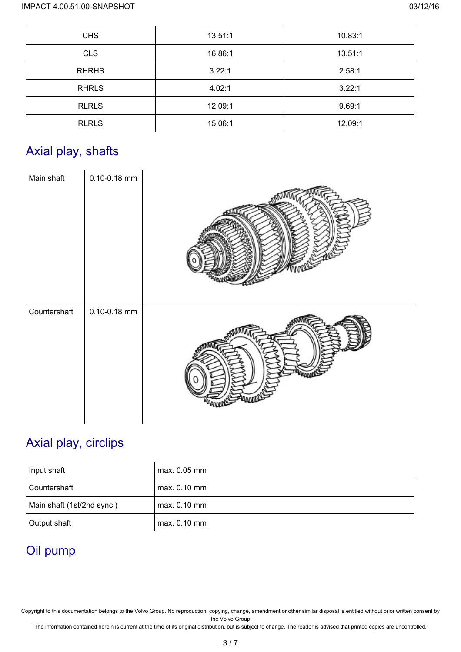| <b>CHS</b>   | 13.51:1 | 10.83:1 |
|--------------|---------|---------|
| <b>CLS</b>   | 16.86:1 | 13.51:1 |
| <b>RHRHS</b> | 3.22:1  | 2.58:1  |
| <b>RHRLS</b> | 4.02:1  | 3.22:1  |
| <b>RLRLS</b> | 12.09:1 | 9.69:1  |
| <b>RLRLS</b> | 15.06:1 | 12.09:1 |

# Axial play, shafts

| Main shaft   | $0.10 - 0.18$ mm |  |
|--------------|------------------|--|
| Countershaft | $0.10 - 0.18$ mm |  |

# Axial play, circlips

| Input shaft                | max. 0.05 mm   |
|----------------------------|----------------|
| Countershaft               | $max. 0.10$ mm |
| Main shaft (1st/2nd sync.) | max. 0.10 mm   |
| Output shaft               | $max. 0.10$ mm |

# Oil pump

Copyright to this documentation belongs to the Volvo Group. No reproduction, copying, change, amendment or other similar disposal is entitled without prior written consent by the Volvo Group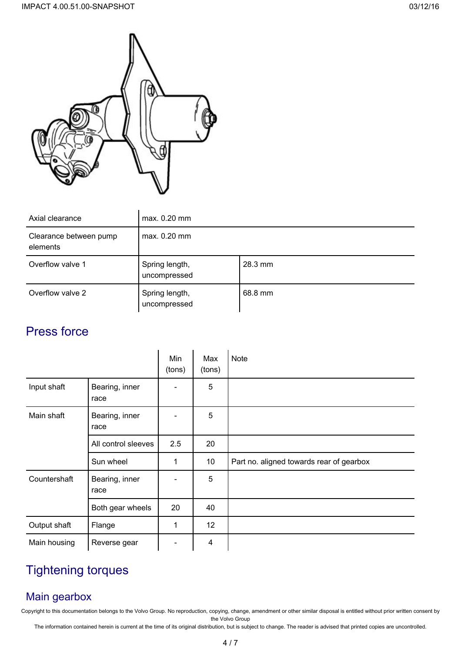

| Axial clearance                    | $max. 0.20$ mm                 |         |  |  |
|------------------------------------|--------------------------------|---------|--|--|
| Clearance between pump<br>elements | max. 0.20 mm                   |         |  |  |
| Overflow valve 1                   | Spring length,<br>uncompressed | 28.3 mm |  |  |
| Overflow valve 2                   | Spring length,<br>uncompressed | 68.8 mm |  |  |

## Press force

|              |                        | Min<br>(tons) | Max<br>(tons)   | Note                                     |
|--------------|------------------------|---------------|-----------------|------------------------------------------|
| Input shaft  | Bearing, inner<br>race |               | 5               |                                          |
| Main shaft   | Bearing, inner<br>race |               | 5               |                                          |
|              | All control sleeves    | 2.5           | 20              |                                          |
|              | Sun wheel              | 1             | 10 <sup>°</sup> | Part no. aligned towards rear of gearbox |
| Countershaft | Bearing, inner<br>race |               | 5               |                                          |
|              | Both gear wheels       | 20            | 40              |                                          |
| Output shaft | Flange                 | 1             | 12 <sup>2</sup> |                                          |
| Main housing | Reverse gear           |               | 4               |                                          |

# Tightening torques

#### Main gearbox

Copyright to this documentation belongs to the Volvo Group. No reproduction, copying, change, amendment or other similar disposal is entitled without prior written consent by the Volvo Group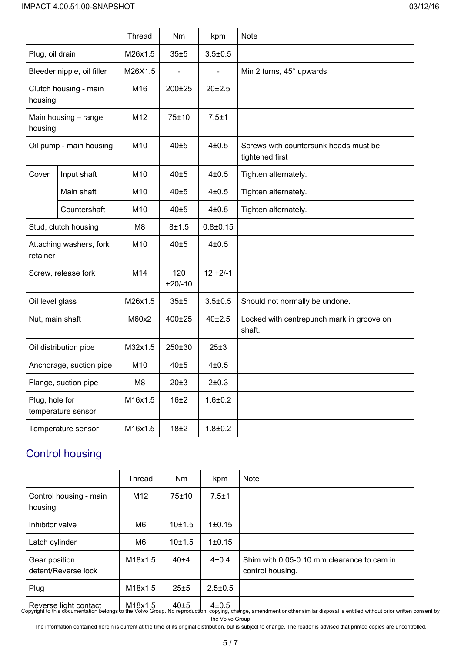|                                      |                            | Thread          | Nm               | kpm          | Note                                                     |
|--------------------------------------|----------------------------|-----------------|------------------|--------------|----------------------------------------------------------|
| Plug, oil drain                      |                            | M26x1.5         | 35±5             | $3.5 + 0.5$  |                                                          |
|                                      | Bleeder nipple, oil filler | M26X1.5         |                  |              | Min 2 turns, 45° upwards                                 |
| Clutch housing - main<br>housing     |                            | M16             | 200±25           | 20±2.5       |                                                          |
| housing                              | Main housing - range       | M12             | 75±10            | 7.5±1        |                                                          |
|                                      | Oil pump - main housing    | M10             | 40±5             | $4\pm0.5$    | Screws with countersunk heads must be<br>tightened first |
| Cover                                | Input shaft                | M10             | 40±5             | $4\pm0.5$    | Tighten alternately.                                     |
|                                      | Main shaft                 | M <sub>10</sub> | 40±5             | 4±0.5        | Tighten alternately.                                     |
|                                      | Countershaft               | M <sub>10</sub> | 40±5             | 4±0.5        | Tighten alternately.                                     |
|                                      | Stud, clutch housing       | M8              | 8±1.5            | $0.8 + 0.15$ |                                                          |
| retainer                             | Attaching washers, fork    | M10             | 40±5             | 4±0.5        |                                                          |
| Screw, release fork                  |                            | M14             | 120<br>$+20/-10$ | $12 + 2/-1$  |                                                          |
| Oil level glass                      |                            | M26x1.5         | 35±5             | $3.5 + 0.5$  | Should not normally be undone.                           |
| Nut, main shaft                      |                            | M60x2           | 400±25           | 40±2.5       | Locked with centrepunch mark in groove on<br>shaft.      |
| Oil distribution pipe                |                            | M32x1.5         | 250±30           | 25±3         |                                                          |
| Anchorage, suction pipe              |                            | M10             | 40±5             | 4±0.5        |                                                          |
| Flange, suction pipe                 |                            | M8              | 20±3             | 2±0.3        |                                                          |
| Plug, hole for<br>temperature sensor |                            | M16x1.5         | 16±2             | $1.6 + 0.2$  |                                                          |
| Temperature sensor                   |                            | M16x1.5         | 18±2             | $1.8 + 0.2$  |                                                          |

## Control housing

|                                      | Thread  | Nm     | kpm           | Note                                                                                                                                                                                                                       |
|--------------------------------------|---------|--------|---------------|----------------------------------------------------------------------------------------------------------------------------------------------------------------------------------------------------------------------------|
| Control housing - main<br>housing    | M12     | 75±10  | $7.5 + 1$     |                                                                                                                                                                                                                            |
| Inhibitor valve                      | M6      | 10±1.5 | 1±0.15        |                                                                                                                                                                                                                            |
| Latch cylinder                       | M6      | 10±1.5 | 1±0.15        |                                                                                                                                                                                                                            |
| Gear position<br>detent/Reverse lock | M18x1.5 | 40±4   | $4\pm0.4$     | Shim with 0.05-0.10 mm clearance to cam in<br>control housing.                                                                                                                                                             |
| Plug                                 | M18x1.5 | 25±5   | $2.5 \pm 0.5$ |                                                                                                                                                                                                                            |
|                                      |         |        |               | Reverse light contact M18x1.5 40±5 410.5<br>Copyright to this documentation belongs to the Volvo Group. No reproduction, copying, change, amendment or other similar disposal is entitled without prior written consent by |

the Volvo Group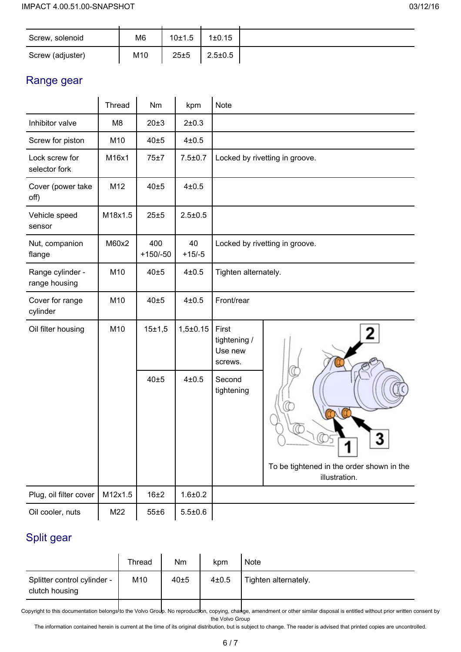| Screw, solenoid  | M6              | 10±1.5 | 1±0.15        |  |
|------------------|-----------------|--------|---------------|--|
| Screw (adjuster) | M <sub>10</sub> | 25±5   | $2.5 \pm 0.5$ |  |

#### Range gear

|                                   | Thread  | Nm                | kpm            | Note                                                                   |
|-----------------------------------|---------|-------------------|----------------|------------------------------------------------------------------------|
| Inhibitor valve                   | M8      | 20±3              | 2±0.3          |                                                                        |
| Screw for piston                  | M10     | 40±5              | 4±0.5          |                                                                        |
| Lock screw for<br>selector fork   | M16x1   | 75±7              | $7.5 + 0.7$    | Locked by rivetting in groove.                                         |
| Cover (power take<br>off)         | M12     | 40±5              | $4\pm0.5$      |                                                                        |
| Vehicle speed<br>sensor           | M18x1.5 | 25±5              | $2.5 \pm 0.5$  |                                                                        |
| Nut, companion<br>flange          | M60x2   | 400<br>$+150/-50$ | 40<br>$+15/-5$ | Locked by rivetting in groove.                                         |
| Range cylinder -<br>range housing | M10     | 40±5              | $4\pm0.5$      | Tighten alternately.                                                   |
| Cover for range<br>cylinder       | M10     | 40±5              | $4\pm0.5$      | Front/rear                                                             |
| Oil filter housing                | M10     | 15±1,5            | $1,5\pm0.15$   | First<br>2<br>tightening /<br>Use new<br>screws.                       |
|                                   |         | 40±5              | $4\pm0.5$      | Second<br>tightening<br>−<br>To be tightened in the order shown in the |
|                                   |         |                   |                | illustration.                                                          |
| Plug, oil filter cover            | M12x1.5 | 16±2              | $1.6 + 0.2$    |                                                                        |
| Oil cooler, nuts                  | M22     | 55±6              | $5.5 \pm 0.6$  |                                                                        |

### Split gear

|                                               | Thread | Nm   | kpm   | Note                 |
|-----------------------------------------------|--------|------|-------|----------------------|
| Splitter control cylinder -<br>clutch housing | M10    | 40±5 | 4±0.5 | Tighten alternately. |
|                                               |        |      |       |                      |

Copyright to this documentation belongs to the Volvo Group. No reproduction, copying, change, amendment or other similar disposal is entitled without prior written consent by the Volvo Group